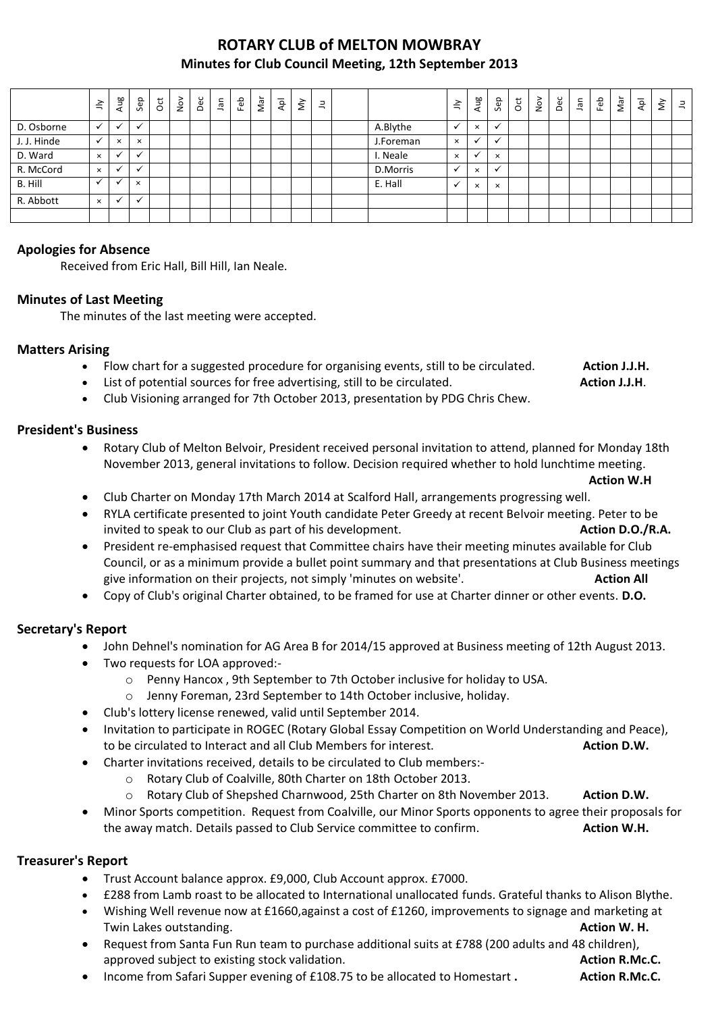## **ROTARY CLUB of MELTON MOWBRAY Minutes for Club Council Meeting, 12th September 2013**

|             | $\preceq$ | Aug          | Sep          | ä | $\sum_{i=1}^{n}$ | Dec | Jan | Feb | Nar | $\overline{P}$ | $\check{\varepsilon}$ | $\equiv$ |           | $\tilde{=}$ | Aug                  | Sep      | $\overline{c}$ | $\sum_{i=1}^{\infty}$ | Dec | $\Xi$ | Feb | Nar | Apl | $\check{\varepsilon}$ | $\exists$ |
|-------------|-----------|--------------|--------------|---|------------------|-----|-----|-----|-----|----------------|-----------------------|----------|-----------|-------------|----------------------|----------|----------------|-----------------------|-----|-------|-----|-----|-----|-----------------------|-----------|
| D. Osborne  | $\cdot$   | $\checkmark$ | $\checkmark$ |   |                  |     |     |     |     |                |                       |          | A.Blythe  |             | $\times$             |          |                |                       |     |       |     |     |     |                       |           |
| J. J. Hinde | ✓         | $\times$     | $\times$     |   |                  |     |     |     |     |                |                       |          | J.Foreman | $\times$    | $\ddot{\phantom{0}}$ |          |                |                       |     |       |     |     |     |                       |           |
| D. Ward     | $\times$  | ✔            | $\mathbf{v}$ |   |                  |     |     |     |     |                |                       |          | I. Neale  | $\times$    | $\ddot{\phantom{0}}$ | $\times$ |                |                       |     |       |     |     |     |                       |           |
| R. McCord   | $\times$  | ✓            | $\checkmark$ |   |                  |     |     |     |     |                |                       |          | D.Morris  |             | $\times$             |          |                |                       |     |       |     |     |     |                       |           |
| B. Hill     |           |              | $\times$     |   |                  |     |     |     |     |                |                       |          | E. Hall   |             | $\times$             | $\times$ |                |                       |     |       |     |     |     |                       |           |
| R. Abbott   | $\times$  | $\checkmark$ | $\checkmark$ |   |                  |     |     |     |     |                |                       |          |           |             |                      |          |                |                       |     |       |     |     |     |                       |           |
|             |           |              |              |   |                  |     |     |     |     |                |                       |          |           |             |                      |          |                |                       |     |       |     |     |     |                       |           |

### **Apologies for Absence**

Received from Eric Hall, Bill Hill, Ian Neale.

#### **Minutes of Last Meeting**

The minutes of the last meeting were accepted.

#### **Matters Arising**

- Flow chart for a suggested procedure for organising events, still to be circulated. **Action J.J.H.**
- List of potential sources for free advertising, still to be circulated. **Action J.J.H.** Action J.J.H.
- Club Visioning arranged for 7th October 2013, presentation by PDG Chris Chew.

#### **President's Business**

 Rotary Club of Melton Belvoir, President received personal invitation to attend, planned for Monday 18th November 2013, general invitations to follow. Decision required whether to hold lunchtime meeting.

**Action W.H**

- Club Charter on Monday 17th March 2014 at Scalford Hall, arrangements progressing well.
- RYLA certificate presented to joint Youth candidate Peter Greedy at recent Belvoir meeting. Peter to be invited to speak to our Club as part of his development. **Action D.O./R.A. Action D.O./R.A.**
- President re-emphasised request that Committee chairs have their meeting minutes available for Club Council, or as a minimum provide a bullet point summary and that presentations at Club Business meetings give information on their projects, not simply 'minutes on website'. **Action All Action All**
- Copy of Club's original Charter obtained, to be framed for use at Charter dinner or other events. **D.O.**

#### **Secretary's Report**

- John Dehnel's nomination for AG Area B for 2014/15 approved at Business meeting of 12th August 2013.
- Two requests for LOA approved:
	- o Penny Hancox , 9th September to 7th October inclusive for holiday to USA.
	- o Jenny Foreman, 23rd September to 14th October inclusive, holiday.
- Club's lottery license renewed, valid until September 2014.
- Invitation to participate in ROGEC (Rotary Global Essay Competition on World Understanding and Peace), to be circulated to Interact and all Club Members for interest. **Action D.W.**
- Charter invitations received, details to be circulated to Club members:
	- o Rotary Club of Coalville, 80th Charter on 18th October 2013.
	- o Rotary Club of Shepshed Charnwood, 25th Charter on 8th November 2013. **Action D.W.**
- Minor Sports competition. Request from Coalville, our Minor Sports opponents to agree their proposals for the away match. Details passed to Club Service committee to confirm. **Action W.H.**

#### **Treasurer's Report**

- Trust Account balance approx. £9,000, Club Account approx. £7000.
- £288 from Lamb roast to be allocated to International unallocated funds. Grateful thanks to Alison Blythe.
- Wishing Well revenue now at £1660,against a cost of £1260, improvements to signage and marketing at Twin Lakes outstanding. **Action W. H. Action W. H. Action W. H.**
- Request from Santa Fun Run team to purchase additional suits at £788 (200 adults and 48 children), approved subject to existing stock validation. **Action R.Mc.C. Action R.Mc.C. Action R.Mc.C.**
- Income from Safari Supper evening of £108.75 to be allocated to Homestart **. Action R.Mc.C.**